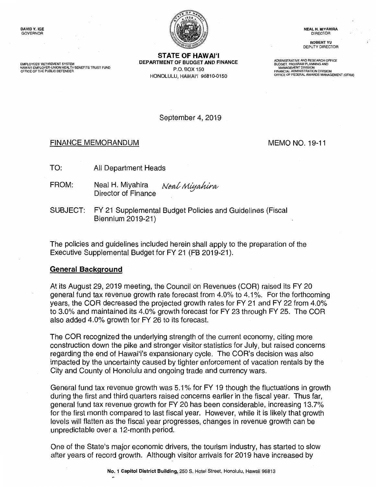HAWAI'I EMPLOYER-UNION HEALTH BENEFITS TRUST FUND<br>OFFICE OF THE PUBLIC DEFENDER



**STATE OF HAWAl'I EMPLOYEES' RETIREMENT SYSTEM <b>DEPARTMENT OF BUDGET AND FINANCE** EMPLOYEES' RETIREMENT SYSTEM<br>HAWAIT EMPLOYER-UNION HEALTH BENEFITS TRUST FUND<br>OFFICE OF THE PUBLIC DEFENDER ONE TRANSICAL ADMINISTRATION DIVISION DIVISION PORTLATION DIVISION PORTLATION DIVIS **HONOLULU, HAWAl'I 96810-0150** OFFICE OF FEDERAL AWARDS MANAGEMENT (OFAM)

**ROBERT YU**  DEPUTY DIRECTOR

September 4, 2019

# FINANCE MEMORANDUM MEMO NO. 19-11

- TO: All Department Heads
- FROM: Neal H. Miyahira Director of Finance [Neal Miyahira](https://stateofhawaii.na1.echosign.com/verifier?tx=CBJCHBCAABAA-frqo7m_XYNharH3epHqJQOyC5RpffuS)
- SUBJECT: FY 21 Supplemental Budget Policies and Guidelines (Fiscal Biennium 2019-21)

The policies and guidelines included herein shall apply to the preparation of the Executive Supplemental Budget for FY 21 (FB 2019-21).

### **General Background**

At its August 29, 2019 meeting, the Council on Revenues (COR) raised its FY 20 general fund tax revenue growth rate forecast from 4.0% to 4.1 %. For the forthcoming years, the COR decreased the projected growth rates for FY 21 and FY 22 from 4.0% to 3.0% and maintained its 4.0% growth forecast for FY 23 through FY 25. The COR also added 4.0% growth for FY 26 to its forecast.

The COR recognized the underlying strength of the current economy, citing more construction down the pike and stronger visitor statistics for July, but raised concerns regarding the end of Hawai'i's expansionary cycle. The COR's decision was also impacted by the uncertainty caused by tighter enforcement of vacation rentals by the City and County of Honolulu and ongoing trade and currency wars.

General fund tax revenue growth was 5.1 % for FY 19 though the fluctuations in growth during the first and third quarters raised concerns earlier in the fiscal year. Thus far, general fund tax revenue growth for FY 20 has been considerable, increasing 13.7% for the first month compared to last fiscal year. However, while it is likely that growth levels will flatten as the fiscal year progresses, changes in revenue growth can be unpredictable over a 12-month period.

One of the State's major economic drivers, the tourism industry, has started to slow after years of record growth. Although visitor arrivals for 2019 have increased by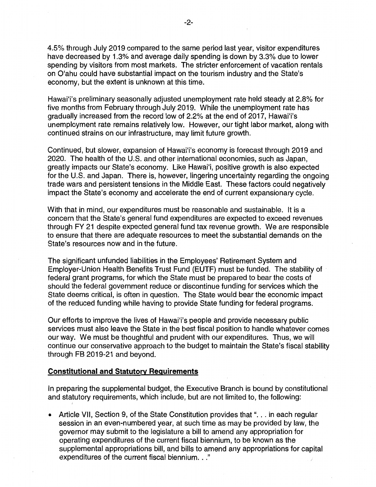4.5% through July 2019 compared to the same period last year, visitor expenditures have decreased by 1.3% and average daily spending is down by 3.3% due to lower spending by visitors from most markets. The stricter enforcement of vacation rentals on O'ahu could have substantial impact on the tourism industry and the State's economy, but the extent is unknown at this time.

Hawai'i's preliminary seasonally adjusted unemployment rate held steady at 2.8% for five months from February through July 2019. While the unemployment rate has gradually increased from the record low of 2.2% at the end of 2017, Hawai'i's unemployment rate remains relatively low. However, our tight labor market, along with continued strains on our infrastructure, may limit future growth.

Continued, but slower, expansion of Hawai'i's economy is forecast through 2019 and 2020. The health of the U.S. and other international economies, such as Japan, greatly impacts our State's economy. Like Hawai'i, positive growth is also expected for the U.S. and Japan. There is, however, lingering uncertainty regarding the ongoing trade wars and persistent tensions in the Middle East. These factors could negatively impact the State's economy and accelerate the end of current expansionary cycle.

With that in mind, our expenditures must be reasonable and sustainable. It is a concern that the State's general fund expenditures are expected to exceed revenues through FY 21 despite expected general fund tax revenue growth. We are responsible to ensure that there are adequate resources to meet the substantial demands on the State's resources now and in the future.

The significant unfunded liabilities in the Employees' Retirement System and Employer-Union Health Benefits Trust Fund **(EUTF)** must be funded. The stability of federal grant programs, for which the State must be prepared to bear the costs of should the federal government reduce or discontinue funding for services which the State deems critical, is often in question. The State would bear the economic impact of the reduced funding while having to provide State funding for federal programs.

Our efforts to improve the lives of Hawai'i's people and provide necessary public services must also leave the State in the best fiscal position to handle whatever comes our way. We must be thoughtful and prudent with our expenditures. Thus, we will continue our conservative approach to the budget to maintain the State's fiscal stability through FB 2019-21 and beyond.

#### **Constitutional and Statutory Requirements**

I

In preparing the supplemental budget, the Executive Branch is bound by constitutional and statutory requirements, which include, but are not limited to, the following:

• Article VII, Section 9, of the State Constitution provides that "... in each regular session in an even-numbered year, at such time as may be provided by law, the governor may submit to the legislature a bill to amend any appropriation for operating expenditures of the current fiscal biennium, to be known as the supplemental appropriations bill, and bills to amend any appropriations for capital expenditures of the current fiscal biennium. . ."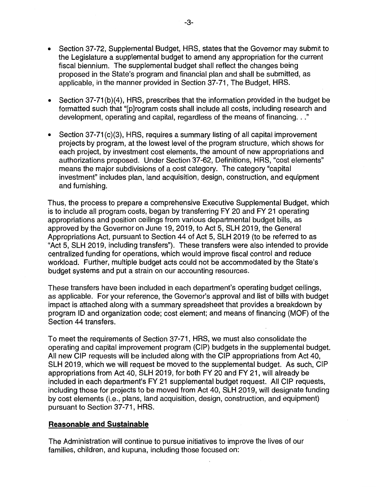- Section 37-72, Supplemental Budget, HRS, states that the Governor may submit to the Legislature a supplemental budget to amend any appropriation for the current fiscal biennium. The supplemental budget shall reflect the changes being proposed in the State's program and financial plan and shall be submitted, as applicable, in the manner provided in Section 37-71, The Budget, HRS.
- Section 37-71(b)(4), HRS, prescribes that the information provided in the budget be formatted such that "[p]rogram costs shall include all costs, including research and development, operating and capital, regardless of the means of financing. . ."
- Section 37-71(c)(3), HRS, requires a summary listing of all capital improvement projects by program, at the lowest level of the program structure, which shows for each project, by investment cost elements, the amount of new appropriations and authorizations proposed. Under Section 37-62, Definitions, HRS, "cost elements" means the major subdivisions of a cost category. The category "capital investment" includes plan, land acquisition, design, construction, and equipment and furnishing.

Thus, the process to prepare a comprehensive Executive Supplemental Budget, which is to include all program costs, began by transferring FY 20 and FY 21 operating appropriations and position ceilings from various departmental budget bills, as approved by the Governor on June 19, 2019, to Act 5, SLH 2019, the General Appropriations Act, pursuant to Section 44 of Act 5, SLH 2019 (to be referred to as "Act 5, SLH 2019, including transfers"). These transfers were also intended to provide centralized funding for operations, which would improve fiscal control and reduce workload. Further, multiple budget acts could not be accommodated by the State's budget systems and put a strain on our accounting resources.

These transfers have been included in each department's operating budget ceilings, as applicable. For your reference, the Governor's approval and list of bills with budget impact is attached along with a summary spreadsheet that provides a breakdown by program ID and organization code; cost element; and means of financing (MOF) of the Section 44 transfers.

To meet the requirements of Section 37-71, HRS, we must also consolidate the operating and capital improvement program (CIP) budgets in the supplemental budget. All new CIP requests will be included along with the CIP appropriations from Act 40, SLH 2019, which we will request be moved to the supplemental budget. As such, CIP appropriations from Act 40, SLH 2019, for both FY 20 and FY 21, will already be included in each department's FY 21 supplemental budget request. All CIP requests, including those for projects to be moved from Act 40, SLH 2019, will designate funding by cost elements (i.e., plans, land acquisition, design, construction, and equipment) pursuant to Section 37-71, HRS.

# **Reasonable and Sustainable**

The Administration will continue to pursue initiatives to improve the lives of our families, children, and kupuna, including those focused on: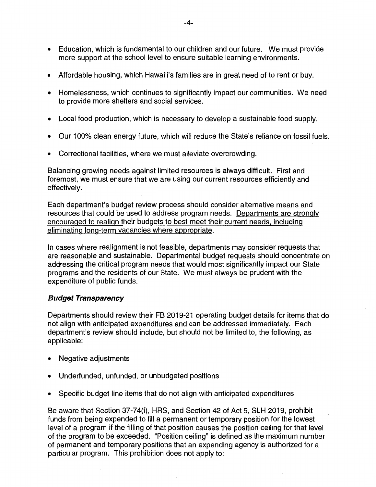- Education, which is fundamental to our children and our future. We must provide more support at the school level to ensure suitable learning environments.
- Affordable housing, which Hawai'i's families are in great need of to rent or buy.
- Homelessness, which continues to significantly impact our communities. We need to provide more shelters and social services.
- Local food production, which is necessary to develop a sustainable food supply.
- Our 100% clean energy future, which will reduce the State's reliance on fossil fuels.
- Correctional facilities, where we must alleviate overcrowding.

Balancing growing needs against limited resources is always difficult. First and foremost, we must ensure that we are using our current resources efficiently and effectively.

Each department's budget review process should consider alternative means and resources that could be used to address program needs. Departments are strongly encouraged to realign their budgets to best meet their current needs, including eliminating long-term vacancies where appropriate.

In cases where realignment is not feasible, departments may consider requests that are reasonable and sustainable. Departmental budget requests should concentrate on addressing the critical program needs that would most significantly impact our State programs and the residents of our State. We must always be prudent with the expenditure of public funds.

# **Budget Transparency**

Departments should review their FB 2019-21 operating budget details for items that do not align with anticipated expenditures and can be addressed immediately. Each department's review should include, but should not be limited to, the following, as applicable:

- Negative adjustments
- Underfunded, unfunded, or unbudgeted positions
- Specific budget line items that do not align with anticipated expenditures

Be aware that Section 37-74(f), HRS, and Section 42 of Act 5, SLH 2019, prohibit funds from being expended to fill a permanent or temporary position for the lowest level of a program if the filling of that position causes the position ceiling for that level of the program to be exceeded. "Position ceiling" is defined as the maximum number of permanent and temporary positions that an expending agency is authorized for a particular program. This prohibition does not apply to: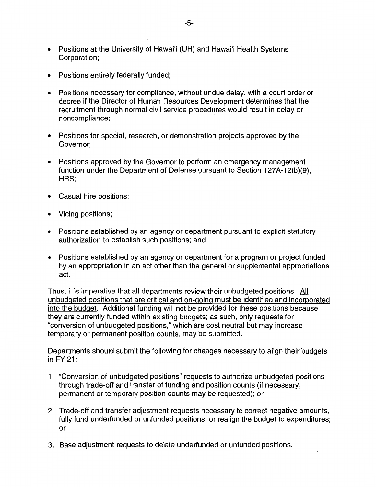- Positions at the University of Hawai'i (UH) and Hawai'i Health Systems Corporation;
- Positions entirely federally funded;
- Positions necessary for compliance, without undue delay, with a court order or decree if the Director of Human Resources Development determines that the recruitment through normal civil service procedures would result in delay or noncompliance;
- Positions for special, research, or demonstration projects approved by the Governor;
- Positions approved by the Governor to perform an emergency management function under the Department of Defense pursuant to Section 127A-12(b)(9), HRS;
- Casual hire positions;
- Vicing positions;
- Positions established by an agency or department pursuant to explicit statutory authorization to establish such positions; and
- Positions established by an agency or department for a program or project funded by an appropriation in an act other than the general or supplemental appropriations act.

Thus, it is imperative that all departments review their unbudgeted positions. All unbudgeted positions that are critical and on-going must be identified and incorporated into the budget. Additional funding will not be provided for these positions because they are currently funded within existing budgets; as such, only requests for "conversion of unbudgeted positions," which are cost neutral but may increase temporary or permanent position counts, may be submitted.

Departments should submit the following for changes necessary to align their budgets in FY 21:

- 1. "Conversion of unbudgeted positions" requests to authorize unbudgeted positions through trade-off and transfer of funding and position counts (if necessary, permanent or temporary position counts may be requested); or
- 2. Trade-off and transfer adjustment requests necessary to correct negative amounts, fully fund underfunded or unfunded positions, or realign the budget to expenditures; or
- 3. Base adjustment requests to delete underfunded or unfunded positions.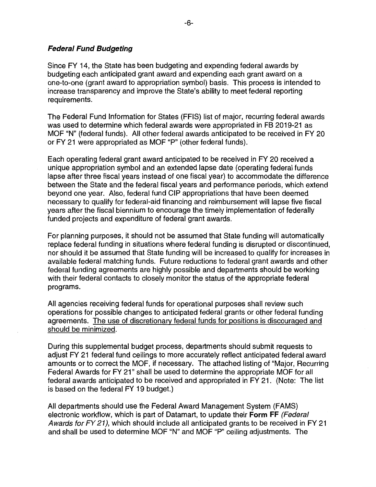# **Federal Fund Budgeting**

Since FY 14, the State has been budgeting and expending federal awards by budgeting each anticipated grant award and expending each grant award on a one-to-one (grant award to appropriation symbol) basis. This process is intended to increase transparency and improve the State's ability to meet federal reporting requirements.

The Federal Fund Information for States (FFIS) list of major, recurring federal awards was used to determine which federal awards were appropriated in FB 2019-21 as MOF "N" (federal funds). All other federal awards anticipated to be received in FY 20 or FY 21 were appropriated as MOF "P" (other federal funds).

Each operating federal grant award anticipated to be received in FY 20 received a unique appropriation symbol and an extended lapse date (operating federal funds lapse after three fiscal years instead of one fiscal year) to accommodate the difference between the State and the federal fiscal years and performance periods, which extend beyond one year. Also, federal fund CIP appropriations that have been deemed necessary to qualify for federal-aid financing and reimbursement will lapse five fiscal years after the fiscal biennium to encourage the timely implementation of federally funded projects and expenditure of federal grant awards.

For planning purposes, it should not be assumed that State funding will automatically replace federal funding in situations where federal funding is disrupted or discontinued, nor should it be assumed that State funding will be increased to qualify for increases in available federal matching funds. Future reductions to federal grant awards and other federal funding agreements are highly possible and departments should be working with their federal contacts to closely monitor the status of the appropriate federal programs.

All agencies receiving federal funds for operational purposes shall review such operations for possible changes to anticipated federal grants or other federal funding agreements. The use of discretionary federal funds for positions is discouraged and should be minimized.

During this supplemental budget process, departments should submit requests to adjust FY 21 federal fund ceilings to more accurately reflect anticipated federal award amounts or to correct the MOF, if necessary. The attached listing of "Major, Recurring Federal Awards for FY 21" shall be used to determine the appropriate MOF for all federal awards anticipated to be received and appropriated in FY 21. (Note: The list is based on the federal FY 19 budget.)

All departments should use the Federal Award Management System (FAMS) electronic workflow, which is part of Datamart, to update their **Form FF** (Federal Awards for FY 21), which should include all anticipated grants to be received in FY 21 and shall be used to determine MOF "N" and MOF "P" ceiling adjustments. The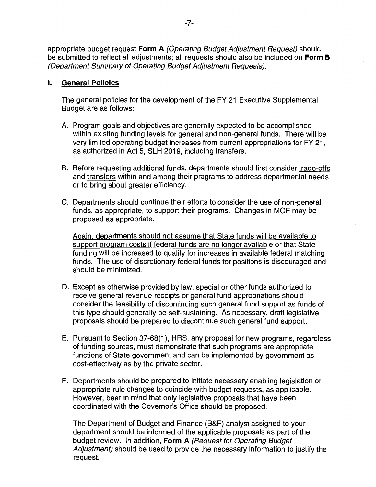appropriate budget request **Form A** (Operating Budget Adjustment Request) should be submitted to reflect all adjustments; all requests should also be included on **Form 8**  (Department Summary of Operating Budget Adjustment Requests).

## I. **General Policies**

The general policies for the development of the FY 21 Executive Supplemental Budget are as follows:

- A. Program goals and objectives are generally expected to be accomplished within existing funding levels for general and non-general funds. There will be very limited operating budget increases from current appropriations for FY 21, as authorized in Act 5, SLH 2019, including transfers.
- B. Before requesting additional funds, departments should first consider trade-offs and transfers within and among their programs to address departmental needs or to bring about greater efficiency.
- C. Departments should continue their efforts to consider the use of non-general funds, as appropriate, to support their programs. Changes in MOF may be proposed as appropriate.

Again, departments should not assume that State funds will be available to support program costs if federal funds are no longer available or that State funding will be increased to qualify for increases in available federal matching funds. The use of discretionary federal funds for positions is discouraged and should be minimized.

- D. Except as otherwise provided by law, special or other funds authorized to receive general revenue receipts or general fund appropriations should consider the feasibility of discontinuing such general fund support as funds of this type should generally be self-sustaining. As necessary, draft legislative proposals should be prepared to discontinue such general fund support.
- E. Pursuant to Section 37-68(1 ), HRS, any proposal for new programs, regardless of funding sources, must demonstrate that such programs are appropriate functions of State government and can be implemented by government as cost-effectively as by the private sector.
- F. Departments should be prepared to initiate necessary enabling legislation or appropriate rule changes to coincide with budget requests, as applicable. However, bear in mind that only legislative proposals that have been coordinated with the Governor's Office should be proposed.

The Department of Budget and Finance (B&F) analyst assigned to your department should be informed of the applicable proposals as part of the budget review. In addition, **Form A** (Request for Operating Budget Adjustment) should be used to provide the necessary information to justify the request.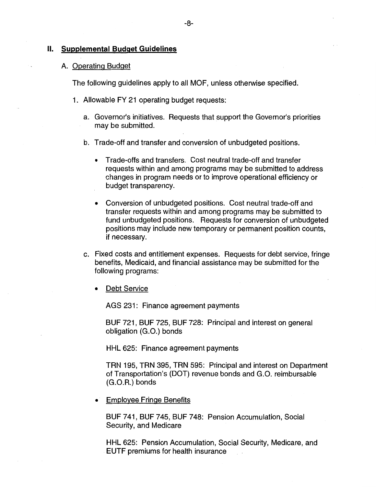#### II. **Supplemental Budget Guidelines**

### A. Operating Budget

The following guidelines apply to all MOF, unless otherwise specified.

- 1. Allowable FY 21 operating budget requests:
	- a. Governor's initiatives. Requests that support the Governor's priorities may be submitted.
	- b. Trade-off and transfer and conversion of unbudgeted positions.
		- Trade-offs and transfers. Cost neutral trade-off and transfer requests within and among programs may be submitted to address changes in program needs or to improve operational efficiency or budget transparency.
		- Conversion of unbudgeted positions. Cost neutral trade-off and transfer requests within and among programs may be submitted to fund unbudgeted positions. Requests for conversion of unbudgeted positions may include new temporary or permanent position counts, if necessary.
	- c. Fixed costs and entitlement expenses. Requests for debt service, fringe benefits, Medicaid, and financial assistance may be submitted for the following programs:
		- Debt Service

AGS 231: Finance agreement payments

BUF 721, BUF 725, BUF 728: Principal and interest on general obligation (G.O.) bonds

HHL 625: Finance agreement payments

TRN 195, TRN 395, TRN 595: Principal and interest on Department of Transportation's (DOT) revenue bonds and G.O. reimbursable (G.O.R.) bonds

• Employee Fringe Benefits

BUF 741, BUF 745, BUF 748: Pension Accumulation, Social Security, and Medicare

HHL 625: Pension Accumulation, Social Security, Medicare, and EUTF premiums for health insurance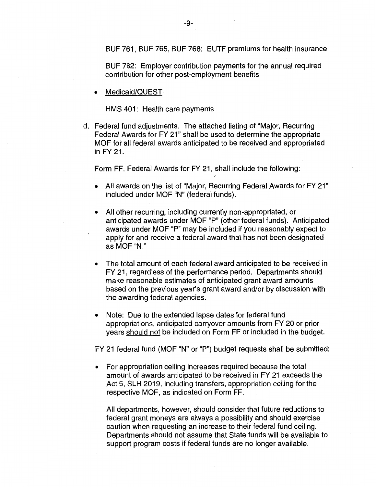BUF 761, BUF 765, BUF 768: EUTF premiums for health insurance

BUF 762: Employer contribution payments for the annual required contribution for other post-employment benefits

• Medicaid/QUEST

HMS 401: Health care payments

d. Federal fund adjustments. The attached listing of "Major, Recurring Federal Awards for FY 21" shall be used to determine the appropriate MOF for all federal awards anticipated to be received and appropriated in FY 21.

Form FF, Federal Awards for FY 21, shall include the following:

- All awards on the list of "Major, Recurring Federal Awards for FY 21" included under MOF "N" (federal funds).
- All other recurring, including currently non-appropriated, or anticipated awards under MOF "P" (other federal funds). Anticipated awards under MOF "P" may be included if you reasonably expect to apply for and receive a federal award that has not been designated as MOF"N."
- The total amount of each federal award anticipated to be received in FY 21, regardless of the performance period. Departments should make reasonable estimates of anticipated grant award amounts based on the previous year's grant award and/or by discussion with the awarding federal agencies.
- Note: Due to the extended lapse dates for federal fund appropriations, anticipated carryover amounts from FY 20 or prior years should not be included on Form FF or included in the budget.

FY 21 federal fund (MOF "N" or "P") budget requests shall be submitted:

• For appropriation ceiling increases required because the total amount of awards anticipated to be received in FY 21 exceeds the Act 5, SLH 2019, including transfers, appropriation ceiling for the respective MOF, as indicated on Form FF.

All departments, however, should consider that future reductions to federal grant moneys are always a possibility and should exercise caution when requesting an increase to their federal fund ceiling. Departments should not assume that State funds will be available to support program costs if federal funds are no longer available.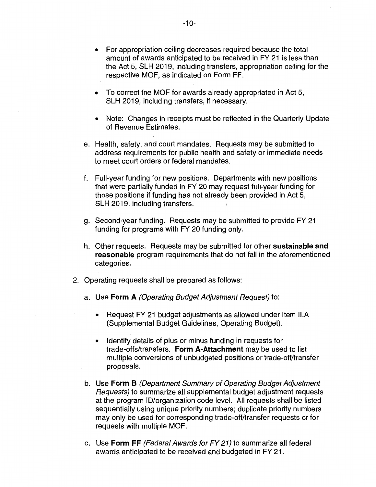- To correct the MOF for awards already appropriated in Act 5, SLH 2019, including transfers, if necessary.
- Note: Changes in receipts must be reflected in the Quarterly Update of Revenue Estimates.
- e. Health, safety, and court mandates. Requests may be submitted to address requirements for public health and safety or immediate needs to meet court orders or federal mandates.
- f. Full-year funding for new positions. Departments with new positions that were partially funded in FY 20 may request full-year funding for those positions if funding has not already been provided in Act 5, SLH 2019, including transfers.
- g. Second-year funding. Requests may be submitted to provide FY 21 funding for programs with FY 20 funding only.
- h. Other requests. Requests may be submitted for other **sustainable and reasonable** program requirements that do not fall in the aforementioned categories.
- 2. Operating requests shall be prepared as follows:
	- a. Use **Form A** (Operating Budget Adjustment Request) to:
		- Request FY 21 budget adjustments as allowed under Item II.A (Supplemental Budget Guidelines, Operating Budget).
		- Identify details of plus or minus funding in requests for trade-offs/transfers. **Form A-Attachment** may be used to list multiple conversions of unbudgeted positions or trade-off/transfer proposals.
	- b. Use **Form B** (Department Summary of Operating Budget Adjustment Requests) to summarize all supplemental budget adjustment requests at the program ID/organization code level. All requests shall be listed sequentially using unique priority numbers; duplicate priority numbers may only be used for corresponding trade-off/transfer requests or for requests with multiple MOF.
	- c. Use **Form FF** (Federal Awards for FY 21) to summarize all federal awards anticipated to be received and budgeted in FY 21.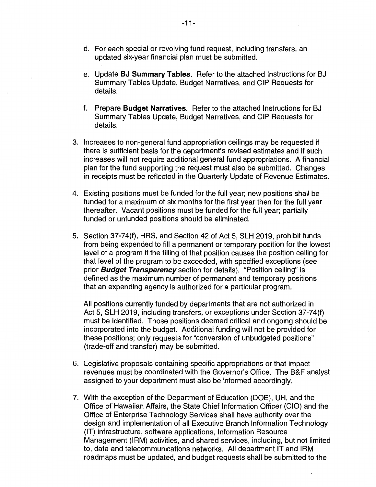- d. For each special or revolving fund request, including transfers, an updated six-year financial plan must be submitted.
- e. Update **BJ Summary Tables.** Refer to the attached Instructions for BJ Summary Tables Update, Budget Narratives, and CIP Requests for details.
- f. Prepare **Budget Narratives.** Refer to the attached Instructions for BJ Summary Tables Update, Budget Narratives, and CIP Requests for details.
- 3. Increases to non-general fund appropriation ceilings may be requested if there is sufficient basis for the department's revised estimates and if such increases will not require additional general fund appropriations. A financial plan for the fund supporting the request must also be submitted. Changes in receipts must be reflected in the Quarterly Update of Revenue Estimates.
- 4. Existing positions must be funded for the full year; new positions shall be funded for a maximum of six months for the first year then for the full year thereafter. Vacant positions must be funded for the full year; partially funded or unfunded positions should be eliminated.
- 5. Section 37-74(f), HRS, and Section 42 of Act 5, SLH 2019, prohibit funds from being expended to fill a permanent or temporary position for the lowest level of a program if the filling of that position causes the position ceiling for that level of the program to be exceeded, with specified exceptions (see prior **Budget Transparency** section for details). "Position ceiling" is defined as the maximum number of permanent and temporary positions that an expending agency is authorized for a particular program.
	- All positions currently funded by departments that are not authorized in Act 5, SLH 2019, including transfers, or exceptions under Section 37-74(f) must be identified. Those positions deemed critical and ongoing should be incorporated into the budget. Additional funding will not be provided for these positions; only requests for "conversion of unbudgeted positions" (trade-off and transfer) may be submitted.
- 6. Legislative proposals containing specific appropriations or that impact revenues must be coordinated with the Governor's Office. The B&F analyst assigned to your department must also be informed accordingly.
- 7. With the exception of the Department of Education (DOE), UH, and the Office of Hawaiian Affairs, the State Chief Information Officer (CIO) and the Office of Enterprise Technology Services shall have authority over the design and implementation of all Executive Branch Information Technology (IT) infrastructure, software applications, Information Resource Management (IRM) activities, and shared services, including, but not limited to, data and telecommunications networks. All department IT and IRM roadmaps must be updated, and budget requests shall be submitted to the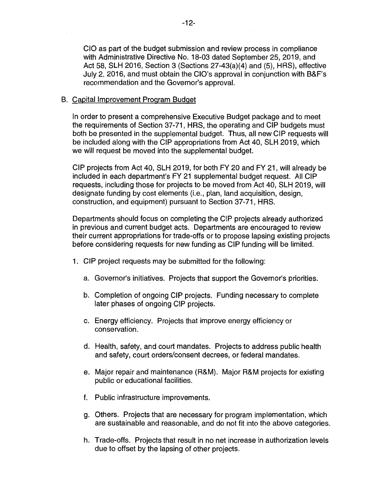CIO as part of the budget submission and review process in compliance with Administrative Directive No. 18-03 dated September 25, 2019, and Act 58, SLH 2016, Section 3 (Sections 27-43(a)(4) and (5), HRS), effective July 2, 2016, and must obtain the CIO's approval in conjunction with B&F's recommendation and the Governor's approval.

# B. Capital Improvement Program Budget

In order to present a comprehensive Executive Budget package and to meet the requirements of Section 37-71, HRS, the operating and CIP budgets must both be presented in the supplemental budget. Thus, all new CIP requests will be included along with the CIP appropriations from Act 40, SLH 2019, which we will request be moved into the supplemental budget.

CIP projects from Act 40, SLH 2019, for both FY 20 and FY 21, will already be included in each department's FY 21 supplemental budget request. All CIP requests, including those for projects to be moved from Act 40, SLH 2019, will designate funding by cost elements (i.e., plan, land acquisition, design, construction, and equipment) pursuant to Section 37-71, HRS.

Departments should focus on completing the CIP projects already authorized in previous and current budget acts. Departments are encouraged to review their current appropriations for trade-offs or to propose lapsing existing projects before considering requests for new funding as CIP funding will be limited.

- 1. CIP project requests may be submitted for the following:
	- a. Governor's initiatives. Projects that support the Governor's priorities.
	- b. Completion of ongoing CIP projects. Funding necessary to complete later phases of ongoing CIP projects.
	- c. Energy efficiency. Projects that improve energy efficiency or conservation.
	- d. Health, safety, and court mandates. Projects to address public health and safety, court orders/consent decrees, or federal mandates.
	- e. Major repair and maintenance (R&M). Major R&M projects for existing public or educational facilities.
	- f. Public infrastructure improvements.
	- g. Others. Projects that are necessary for program implementation, which are sustainable and reasonable, and do not fit into the above categories.
	- h. Trade-offs. Projects that result in no net increase in authorization levels due to offset by the lapsing of other projects.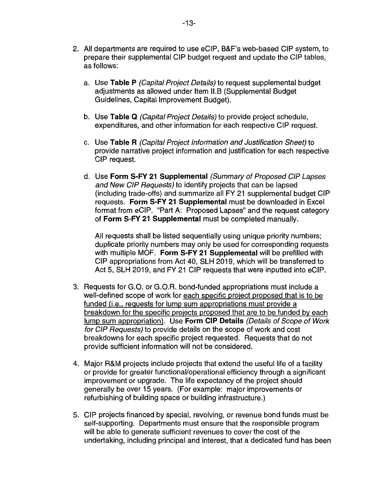- 2. All departments are required to use eCIP, B&F's web-based CIP system, to prepare their supplemental CIP budget request and update the CIP tables, as follows:
	- a. Use **Table P** (Capital Project Details) to request supplemental budget adjustments as allowed under Item I1.B (Supplemental Budget Guidelines, Capital Improvement Budget).
	- b. Use **Table Q** (Capital Project Details) to provide project schedule, expenditures, and other information for each respective CIP request.
	- c. Use **Table R** (Capital Project Information and Justification Sheet) to provide narrative project information and justification for each respective CIP request.
	- d. Use **Form S-FY 21 Supplemental** (Summary of Proposed GIP Lapses and New GIP Requests) to identify projects that can be lapsed (including trade-offs) and summarize all FY 21 supplemental budget CIP requests. **Form S-FY 21 Supplemental** must be downloaded in Excel format from eCIP. "Part A: Proposed Lapses" and the request category of **Form S-FY 21 Supplemental** must be completed manually.

All requests shall be listed sequentially using unique priority numbers; duplicate priority numbers may only be used for corresponding requests with multiple MOF. **Form S-FY 21 Supplemental** will be prefilled with CIP appropriations from Act 40, SLH 2019, which will be transferred to Act 5, SLH 2019, and FY 21 CIP requests that were inputted into eCIP.

- 3. Requests for G.O. or G.O.R. bond-funded appropriations must include a well-defined scope of work for each specific project proposed that is to be funded (i.e., requests for lump sum appropriations must provide a breakdown for the specific projects proposed that are to be funded by each lump sum appropriation). Use **Form CIP Details** (Details of Scope of Work for GIP Requests) to provide details on the scope of work and cost breakdowns for each specific project requested. Requests that do not provide sufficient information will not be considered.
- 4. Major R&M projects include projects that extend the useful life of a facility or provide for greater functional/operational efficiency through a significant improvement or upgrade. The life expectancy of the project should generally be over 15 years. (For example: major improvements or refurbishing of building space or building infrastructure.)
- 5. CIP projects financed by special, revolving, or revenue bond funds must be self-supporting. Departments must ensure that the responsible program will be able to generate sufficient revenues to cover the cost of the undertaking, including principal and interest, that a dedicated fund has been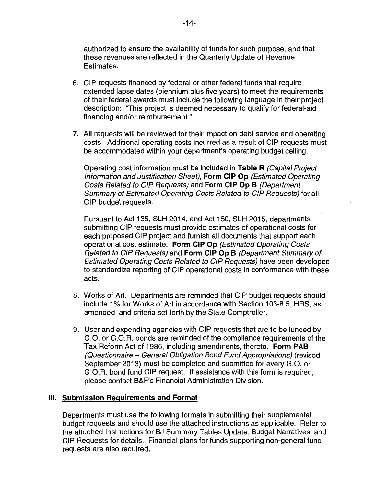authorized to ensure the availability of funds for such purpose, and that these revenues are reflected in the Quarterly Update of Revenue Estimates.

- 6. CIP requests financed by federal or other federal funds that require extended lapse dates (biennium plus five years) to meet the requirements of their federal awards must include the following language in their project description: "This project is deemed necessary to qualify for federal-aid financing and/or reimbursement."
- 7. All requests will be reviewed for their impact on debt service and operating costs. Additional operating costs incurred as a result of CIP requests must be accommodated within your department's operating budget ceiling.

Operating cost information must be included in **Table R** (Capital Project Information and Justification Sheet), **Form CIP Op** (Estimated Operating Costs Related. to GIP Requests) and **Form CIP Op B** (Department Summary of Estimated Operating Costs Related to GIP Requests) for all CIP budget requests.

Pursuant to Act 135, SLH 2014, and Act 150, SLH 2015, departments submitting CIP requests must provide estimates of operational costs for each proposed CIP project and furnish all documents that support each operational cost estimate. **Form CIP Op** (Estimated Operating Costs Related to GIP Requests) and **Form CIP Op B** (Department Summary of Estimated Operating Costs Related to GIP Requests) have been developed to standardize reporting of CIP operational costs in conformance with these acts.

- 8. Works of Art. Departments are reminded that CIP budget requests should include 1% for Works of Art in accordance with Section 103-8.5, HRS, as amended, and criteria set forth by the State Comptroller.
- 9. User and expending agencies with CIP requests that are to be funded by G.O. or G.O.R. bonds are reminded of the compliance requirements of the Tax Reform Act of 1986, including amendments, thereto. **Form PAB**  (Questionnaire - General Obligation Bond Fund Appropriations) (revised September 2013) must be completed and submitted for every G.O. or G.O.R. bond fund CIP request. If assistance with this form is required, please contact B&F's Financial Administration Division.

#### **Ill. Submission Requirements and Format**

Departments must use the following formats in submitting their supplemental budget requests and should use the attached instructions as applicable. Refer to the attached Instructions for BJ Summary Tables Update, Budget Narratives, and CIP Requests for details. Financial plans for funds supporting non-general fund requests are also required.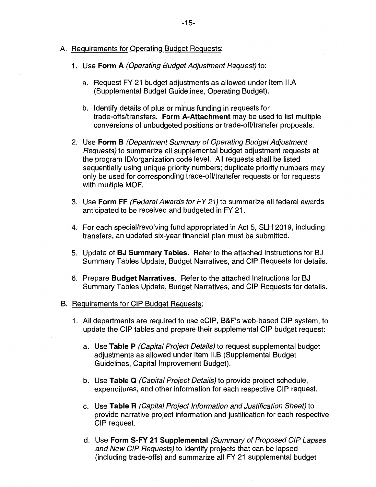- A. Requirements for Operating Budget Requests:
	- 1. Use **Form A** (Operating Budget Adjustment Request) to:
		- a. Request FY 21 budget adjustments as allowed under Item II.A (Supplemental Budget Guidelines, Operating Budget).
		- b. Identify details of plus or minus funding in requests for trade-offs/transfers. **Form A-Attachment** may be used to list multiple conversions of unbudgeted positions or trade-off/transfer proposals.
	- 2. Use **Form B** (Department Summary of Operating Budget Adjustment Requests) to summarize all supplemental budget adjustment requests at the program ID/organization code level. All requests shall be listed sequentially using unique priority numbers; duplicate priority numbers may only be used for corresponding trade-off/transfer requests or for requests with multiple MOF.
	- 3. Use **Form FF** (Federal Awards for FY 21) to summarize all federal awards anticipated to be received and budgeted in FY 21.
	- 4. For each special/revolving fund appropriated in Act 5, SLH 2019, including transfers, an updated six-year financial plan must be submitted.
	- 5. Update of **BJ Summary Tables.** Refer to the attached Instructions for BJ Summary Tables Update, Budget Narratives, and CIP Requests for details.
	- 6. Prepare **Budget Narratives.** Refer to the attached Instructions for BJ Summary Tables Update, Budget Narratives, and CIP Requests for details.
- B. Requirements for CIP Budget Requests:
	- 1. All departments are required to use eCIP, B&F's web-based CIP system, to update the CIP tables and prepare their supplemental CIP budget request:
		- a. Use **Table P** (Capital Project Details) to request supplemental budget adjustments as allowed under Item I1.B (Supplemental Budget Guidelines, Capital Improvement Budget).
		- b. Use **Table Q** (Capital Project Details) to provide project schedule, expenditures, and other information for each respective CIP request.
		- c. Use **Table R** (Capital Project Information and Justification Sheet) to provide narrative project information and justification for each respective CIP request.
		- d. Use **Form S-FY 21 Supplemental** (Summary of Proposed GIP Lapses and New CIP Requests) to identify projects that can be lapsed (including trade-offs) and summarize all FY 21 supplemental budget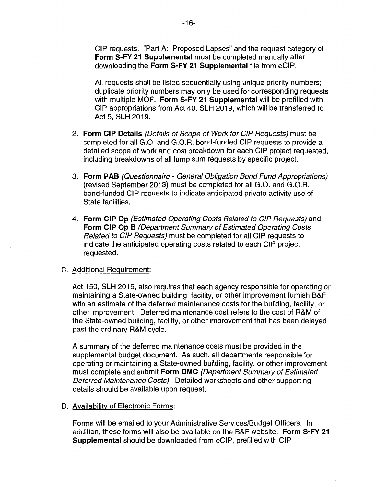CIP requests. "Part A: Proposed Lapses" and the request category of **Form S-FY 21 Supplemental** must be completed manually after downloading the **Form S-FY 21 Supplemental** file from eCIP.

All requests shall be listed sequentially using unique priority numbers; duplicate priority numbers may only be used for corresponding requests with multiple MOF. **Form S-FY 21 Supplemental** will be prefilled with CIP appropriations from Act 40, SLH 2019, which will be transferred to Act 5, SLH 2019.

- 2. **Form CIP Details** (Details of Scope of Work for GIP Requests) must be completed for all G.O. and G.0.R. bond-funded CIP requests to provide a detailed scope of work and cost breakdown for each CIP project requested, including breakdowns of all lump sum requests by specific project.
- 3. **Form PAB** (Questionnaire General Obligation Bond Fund Appropriations) (revised September 2013) must be completed for all G.O. and G.0.R. bond-funded CIP requests to indicate anticipated private activity use of State facilities.
- 4. **Form CIP Op** (Estimated Operating Costs Related to GIP Requests) and **Form CIP Op B** (Department Summary of Estimated Operating Costs Related to GIP Requests) must be completed for all CIP requests to indicate the anticipated operating costs related to each CIP project requested.

#### C. Additional Requirement:

Act 150, SLH 2015, also requires that each agency responsible for operating or maintaining a State-owned building, facility, or other improvement furnish B&F with an estimate of the deferred maintenance costs for the building, facility, or other improvement. Deferred maintenance cost refers to the cost of R&M of the State-owned building, facility, or other improvement that has been delayed past the ordinary R&M cycle.

A summary of the deferred maintenance costs must be provided in the supplemental budget document. As such, all departments responsible for operating or maintaining a State-owned building, facility, or other improvement must complete and submit **Form DMC** (Department Summary of Estimated Deferred Maintenance Costs). Detailed worksheets and other supporting details should be available upon request.

#### D. Availability of Electronic Forms:

Forms will be emailed to your Administrative Services/Budget Officers. In addition, these forms will also be available on the B&F website. **Form S-FY 21 Supplemental** should be downloaded from eCIP, prefilled with CIP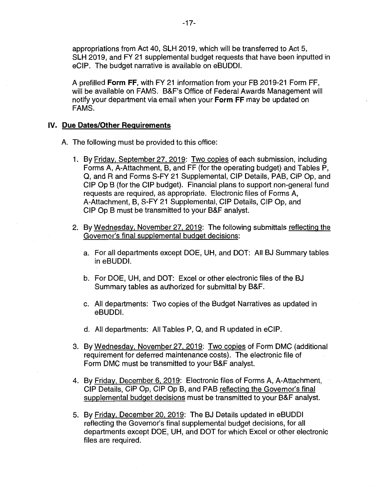appropriations from Act 40, SLH 2019, which will be transferred to Act 5, SLH 2019, and FY 21 supplemental budget requests that have been inputted in eCIP. The budget narrative is available on eBUDDI.

A prefilled **Form FF,** with FY 21 information from your FB 2019-21 Form FF, will be available on FAMS. B&F's Office of Federal Awards Management will notify your department via email when your **Form FF** may be updated on FAMS.

# **IV. Due Dates/Other Requirements**

- A. The following must be provided to this office:
	- 1. By Friday, September 27, 2019: Two copies of each submission, including Forms A, A-Attachment, B, and FF (for the operating budget) and Tables P, Q, and Rand Forms S-FY 21 Supplemental, CIP Details, PAB, CIP Op, and CIP Op B (for the CIP budget). Financial plans to support non-general fund requests are required, as appropriate. Electronic files of Forms A, A-Attachment, B, S-FY 21 Supplemental, CIP Details, CIP Op, and CIP Op B must be transmitted to your B&F analyst.
	- 2. By Wednesday, November 27, 2019: The following submittals reflecting the Governor's final supplemental budget decisions:
		- a. For all departments except DOE, UH, and DOT: All BJ Summary tables in eBUDDI.
		- b. For DOE, UH, and DOT: Excel or other electronic files of the BJ Summary tables as authorized for submittal by B&F.
		- c. All departments: Two copies of the Budget Narratives as updated in eBUDDI.
		- d. All departments: All Tables P, Q, and R updated in eCIP.
	- 3. By Wednesday, November 27, 2019: Two copies of Form DMC (additional requirement for deferred maintenance costs). The electronic file of Form DMC must be transmitted to your B&F analyst.
	- 4. By Friday, December 6, 2019: Electronic files of Forms A, A-Attachment, CIP Details, CIP Op, CIP Op B, and PAB reflecting the Governor's final supplemental budget decisions must be transmitted to your B&F analyst.
	- 5. By Friday, December 20, 2019: The BJ Details updated in eBUDDI reflecting the Governor's final supplemental budget decisions, for all departments except DOE, UH, and DOT for which Excel or other electronic files are required.